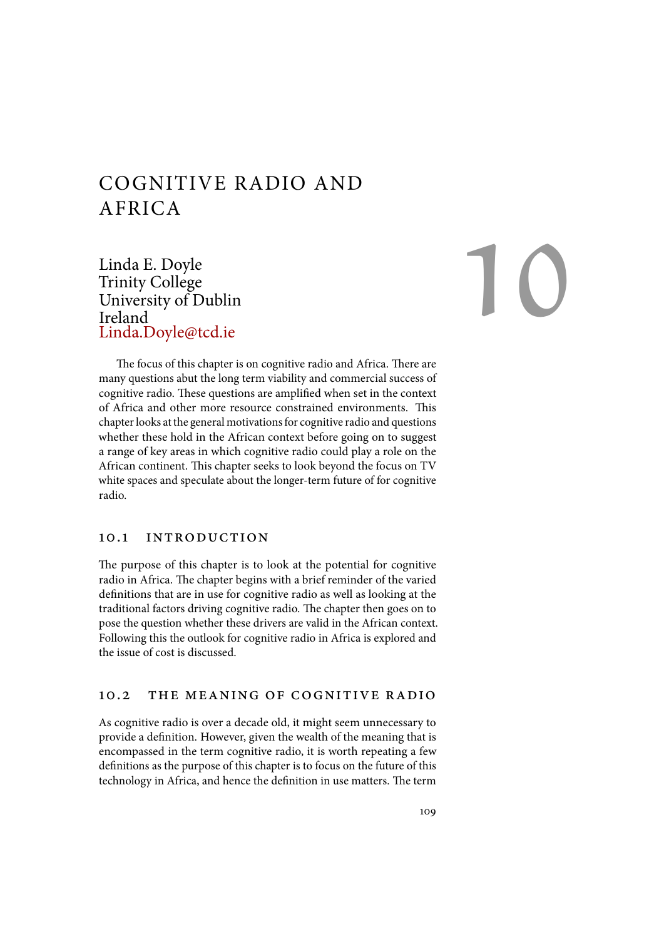# COGNITIVE RADIO AND AFRICA

Linda E. Doyle Trinity College University of Dublin Ireland Linda.Doyle@tcd.ie

10

The focus of this chapter is on cognitive radio and Africa. There are many questions abut the long term viability and commercial success of cognitive radio. These questions are amplified when set in the context of Africa and other more resource constrained environments. This chapter looks at the general motivations for cognitive radio and questions whether these hold in the African context before going on to suggest a range of key areas in which cognitive radio could play a role on the African continent. This chapter seeks to look beyond the focus on TV white spaces and speculate about the longer-term future of for cognitive radio.

#### 10.1 introduction

The purpose of this chapter is to look at the potential for cognitive radio in Africa. The chapter begins with a brief reminder of the varied definitions that are in use for cognitive radio as well as looking at the traditional factors driving cognitive radio. The chapter then goes on to pose the question whether these drivers are valid in the African context. Following this the outlook for cognitive radio in Africa is explored and the issue of cost is discussed.

### 10.2 the meaning of cognitive radio

As cognitive radio is over a decade old, it might seem unnecessary to provide a definition. However, given the wealth of the meaning that is encompassed in the term cognitive radio, it is worth repeating a few definitions as the purpose of this chapter is to focus on the future of this technology in Africa, and hence the definition in use matters. The term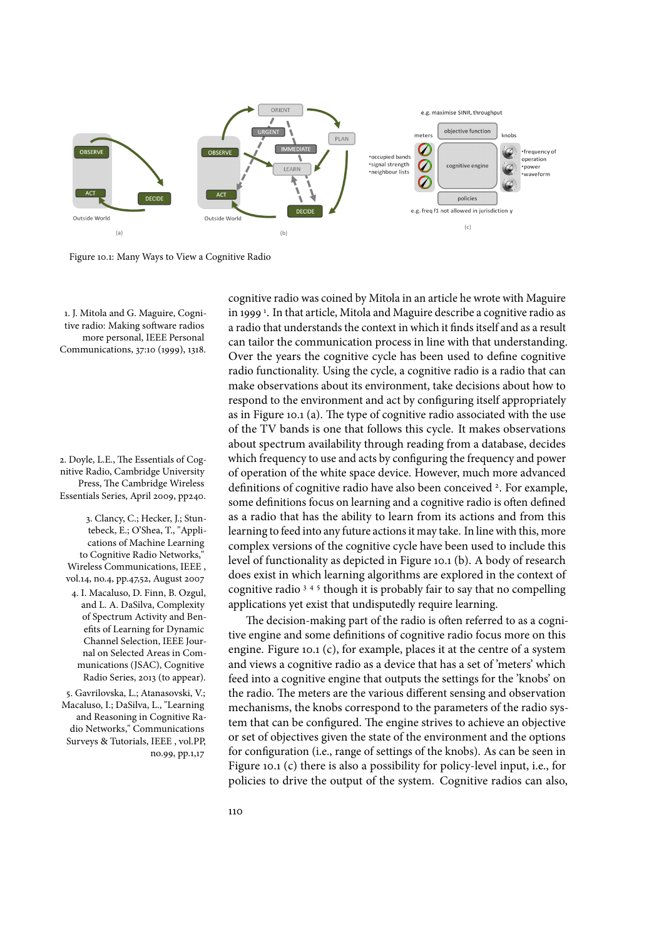

Figure 10.1: Many Ways to View a Cognitive Radio

1. J. Mitola and G. Maguire, Cognitive radio: Making software radios more personal, IEEE Personal Communications, 37:10 (1999), 1318.

2. Doyle, L.E., The Essentials of Cognitive Radio, Cambridge University Press, The Cambridge Wireless

3. Clancy, C.; Hecker, J.; Stuntebeck, E.; O'Shea, T., "Applications of Machine Learning to Cognitive Radio Networks," Wireless Communications, IEEE , vol.14, no.4, pp.47,52, August <sup>2007</sup> <sup>4</sup> <sup>4</sup>. I. Macaluso, D. Finn, B. Ozgul,

and L. A. DaSilva, Complexity of Spectrum Activity and Benefits of Learning for Dynamic Channel Selection, IEEE Journal on Selected Areas in Communications (JSAC), Cognitive Radio Series, 2013 (to appear).

5. Gavrilovska, L.; Atanasovski, V.; Macaluso, I.; DaSilva, L., "Learning and Reasoning in Cognitive Radio Networks," Communications Surveys & Tutorials, IEEE , vol.PP, no.99, pp.1,17

cognitive radio was coined by Mitola in an article he wrote with Maguire in 1999<sup>1</sup>. In that article, Mitola and Maguire describe a cognitive radio as a radio that understands the context in which it finds itself and as a result can tailor the communication process in line with that understanding. Over the years the cognitive cycle has been used to define cognitive radio functionality. Using the cycle, a cognitive radio is a radio that can make observations about its environment, take decisions about how to respond to the environment and act by configuring itself appropriately as in Figure 10.1 (a). The type of cognitive radio associated with the use of the TV bands is one that follows this cycle. It makes observations about spectrum availability through reading from a database, decides which frequency to use and acts by configuring the frequency and power of operation of the white space device. However, much more advanced Press, The Cambridge Wireless definitions of cognitive radio have also been conceived <sup>2</sup>. For example,<br>Essentials Series, April 2009, pp240. some definitions focus on learning and a cognitive radio is often defined as a radio that has the ability to learn from its actions and from this learning to feed into any future actions it may take. In line with this, more complex versions of the cognitive cycle have been used to include this level of functionality as depicted in Figure 10.1 (b). A body of research does exist in which learning algorithms are explored in the context of cognitive radio<sup>345</sup> though it is probably fair to say that no compelling applications yet exist that undisputedly require learning.

> The decision-making part of the radio is often referred to as a cognitive engine and some definitions of cognitive radio focus more on this engine. Figure 10.1 (c), for example, places it at the centre of a system and views a cognitive radio as a device that has a set of 'meters' which feed into a cognitive engine that outputs the settings for the 'knobs' on the radio. The meters are the various different sensing and observation mechanisms, the knobs correspond to the parameters of the radio system that can be configured. The engine strives to achieve an objective or set of objectives given the state of the environment and the options for configuration (i.e., range of settings of the knobs). As can be seen in Figure 10.1 (c) there is also a possibility for policy-level input, i.e., for policies to drive the output of the system. Cognitive radios can also,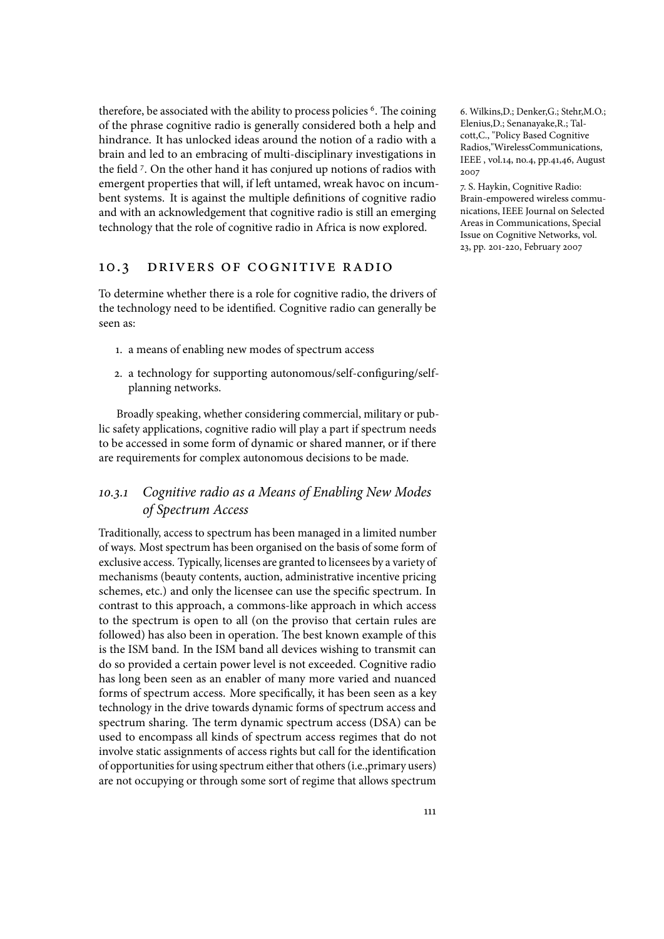therefore, be associated with the ability to process policies <sup>6</sup>. The coining obtainthins, D.; Denker, G.; Stehr, M.O.; of the phrase cognitive radio is generally considered both a help and hindrance. It has unlocked ideas around the notion of a radio with a brain and led to an embracing of multi-disciplinary investigations in the field 7. On the other hand it has conjured up notions of radios with emergent properties that will, if left untamed, wreak havoc on incumbent systems. It is against the multiple definitions of cognitive radio and with an acknowledgement that cognitive radio is still an emerging technology that the role of cognitive radio in Africa is now explored.

### 10.3 drivers of cognitive radio

To determine whether there is a role for cognitive radio, the drivers of the technology need to be identified. Cognitive radio can generally be seen as:

- 1. a means of enabling new modes of spectrum access
- 2. a technology for supporting autonomous/self-configuring/selfplanning networks.

Broadly speaking, whether considering commercial, military or public safety applications, cognitive radio will play a part if spectrum needs to be accessed in some form of dynamic or shared manner, or if there are requirements for complex autonomous decisions to be made.

## 10*.*3*.*1 *Cognitive radio as a Means of Enabling New Modes of Spectrum Access*

Traditionally, access to spectrum has been managed in a limited number of ways. Most spectrum has been organised on the basis of some form of exclusive access. Typically, licenses are granted to licensees by a variety of mechanisms (beauty contents, auction, administrative incentive pricing schemes, etc.) and only the licensee can use the specific spectrum. In contrast to this approach, a commons-like approach in which access to the spectrum is open to all (on the proviso that certain rules are followed) has also been in operation. The best known example of this is the ISM band. In the ISM band all devices wishing to transmit can do so provided a certain power level is not exceeded. Cognitive radio has long been seen as an enabler of many more varied and nuanced forms of spectrum access. More specifically, it has been seen as a key technology in the drive towards dynamic forms of spectrum access and spectrum sharing. The term dynamic spectrum access (DSA) can be used to encompass all kinds of spectrum access regimes that do not involve static assignments of access rights but call for the identification of opportunities for using spectrum either that others (i.e.,primary users) are not occupying or through some sort of regime that allows spectrum

Elenius,D.; Senanayake,R.; Talcott,C., "Policy Based Cognitive Radios,"WirelessCommunications, IEEE , vol.14, no.4, pp.41,46, August 2007

7. S. Haykin, Cognitive Radio: Brain-empowered wireless communications, IEEE Journal on Selected Areas in Communications, Special Issue on Cognitive Networks, vol. 23, pp. 201-220, February 2007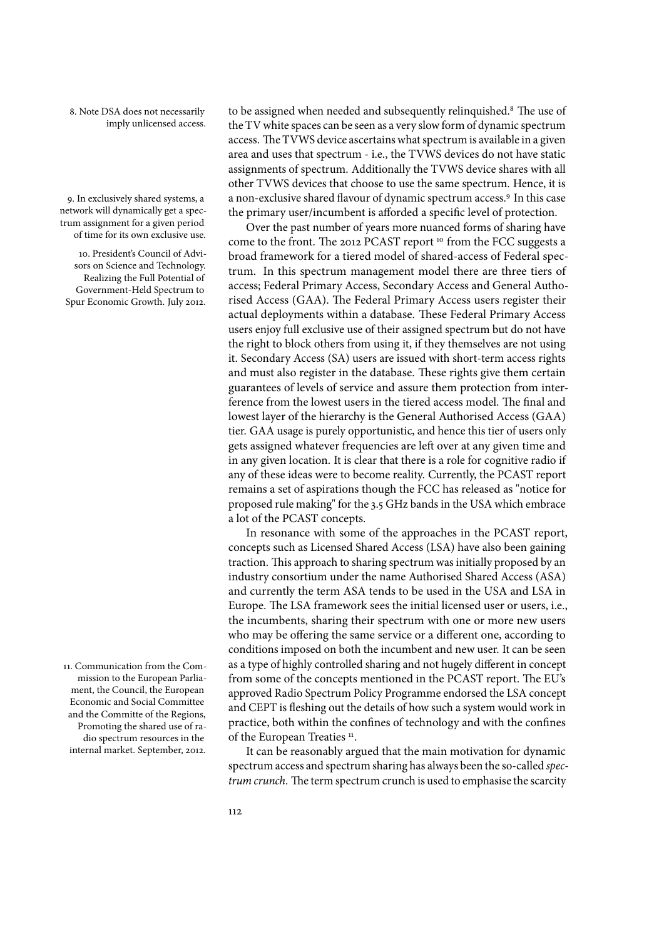imply unlicensed access.

network will dynamically get a spectrum assignment for a given period of time for its own exclusive use.

10. President's Council of Advisors on Science and Technology. Realizing the Full Potential of Government-Held Spectrum to Spur Economic Growth. July 2012.

11. Communication from the Commission to the European Parliament, the Council, the European Economic and Social Committee and the Committe of the Regions, Promoting the shared use of radio spectrum resources in the internal market. September, 2012.

8. Note DSA does not necessarily holded assigned when needed and subsequently relinquished.<sup>8</sup> The use of the TV white spaces can be seen as a very slow form of dynamic spectrum access. The TVWS device ascertains what spectrum is available in a given area and uses that spectrum - i.e., the TVWS devices do not have static assignments of spectrum. Additionally the TVWS device shares with all other TVWS devices that choose to use the same spectrum. Hence, it is 9. In exclusively shared systems, a  $\quad$  a non-exclusive shared flavour of dynamic spectrum access.<sup>9</sup> In this case the primary user/incumbent is afforded a specific level of protection.

> Over the past number of years more nuanced forms of sharing have come to the front. The 2012 PCAST report <sup>10</sup> from the FCC suggests a broad framework for a tiered model of shared-access of Federal spectrum. In this spectrum management model there are three tiers of access; Federal Primary Access, Secondary Access and General Authorised Access (GAA). The Federal Primary Access users register their actual deployments within a database. These Federal Primary Access users enjoy full exclusive use of their assigned spectrum but do not have the right to block others from using it, if they themselves are not using it. Secondary Access (SA) users are issued with short-term access rights and must also register in the database. These rights give them certain guarantees of levels of service and assure them protection from interference from the lowest users in the tiered access model. The final and lowest layer of the hierarchy is the General Authorised Access (GAA) tier. GAA usage is purely opportunistic, and hence this tier of users only gets assigned whatever frequencies are left over at any given time and in any given location. It is clear that there is a role for cognitive radio if any of these ideas were to become reality. Currently, the PCAST report remains a set of aspirations though the FCC has released as "notice for proposed rule making" for the 3.5 GHz bands in the USA which embrace a lot of the PCAST concepts.

> In resonance with some of the approaches in the PCAST report, concepts such as Licensed Shared Access (LSA) have also been gaining traction. This approach to sharing spectrum was initially proposed by an industry consortium under the name Authorised Shared Access (ASA) and currently the term ASA tends to be used in the USA and LSA in Europe. The LSA framework sees the initial licensed user or users, i.e., the incumbents, sharing their spectrum with one or more new users who may be offering the same service or a different one, according to conditions imposed on both the incumbent and new user. It can be seen as a type of highly controlled sharing and not hugely different in concept from some of the concepts mentioned in the PCAST report. The EU's approved Radio Spectrum Policy Programme endorsed the LSA concept and CEPT is fleshing out the details of how such a system would work in practice, both within the confines of technology and with the confines of the European Treaties<sup>11</sup>.

> It can be reasonably argued that the main motivation for dynamic spectrum access and spectrum sharing has always been the so-called *spectrum crunch*. The term spectrum crunch is used to emphasise the scarcity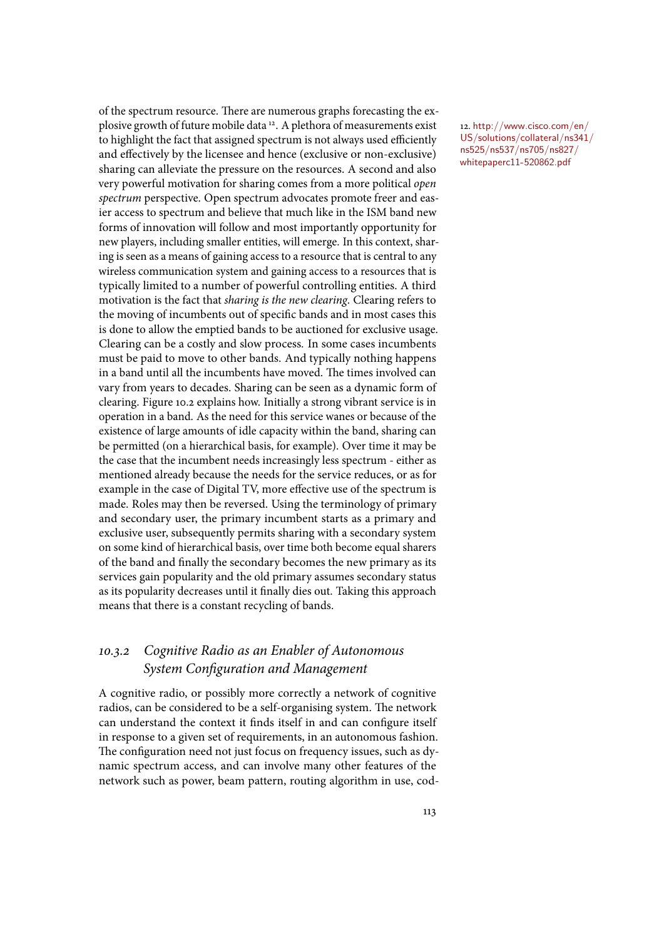of the spectrum resource. There are numerous graphs forecasting the explosive growth of future mobile data 12. A plethora of measurements exist natively//www.cisco.com/en/ to highlight the fact that assigned spectrum is not always used efficiently and effectively by the licensee and hence (exclusive or non-exclusive) sharing can alleviate the pressure on the resources. A second and also very powerful motivation for sharing comes from a more political *open spectrum* perspective. Open spectrum advocates promote freer and easier access to spectrum and believe that much like in the ISM band new forms of innovation will follow and most importantly opportunity for new players, including smaller entities, will emerge. In this context, sharing is seen as a means of gaining access to a resource that is central to any wireless communication system and gaining access to a resources that is typically limited to a number of powerful controlling entities. A third motivation is the fact that *sharing is the new clearing*. Clearing refers to the moving of incumbents out of specific bands and in most cases this is done to allow the emptied bands to be auctioned for exclusive usage. Clearing can be a costly and slow process. In some cases incumbents must be paid to move to other bands. And typically nothing happens in a band until all the incumbents have moved. The times involved can vary from years to decades. Sharing can be seen as a dynamic form of clearing. Figure 10.2 explains how. Initially a strong vibrant service is in operation in a band. As the need for this service wanes or because of the existence of large amounts of idle capacity within the band, sharing can be permitted (on a hierarchical basis, for example). Over time it may be the case that the incumbent needs increasingly less spectrum - either as mentioned already because the needs for the service reduces, or as for example in the case of Digital TV, more effective use of the spectrum is made. Roles may then be reversed. Using the terminology of primary and secondary user, the primary incumbent starts as a primary and exclusive user, subsequently permits sharing with a secondary system on some kind of hierarchical basis, over time both become equal sharers of the band and finally the secondary becomes the new primary as its services gain popularity and the old primary assumes secondary status as its popularity decreases until it finally dies out. Taking this approach means that there is a constant recycling of bands.

## 10*.*3*.*2 *Cognitive Radio as an Enabler of Autonomous System Configuration and Management*

A cognitive radio, or possibly more correctly a network of cognitive radios, can be considered to be a self-organising system. The network can understand the context it finds itself in and can configure itself in response to a given set of requirements, in an autonomous fashion. The configuration need not just focus on frequency issues, such as dynamic spectrum access, and can involve many other features of the network such as power, beam pattern, routing algorithm in use, codUS/solutions/collateral/ns341/ ns525/ns537/ns705/ns827/ whitepaperc11-520862.pdf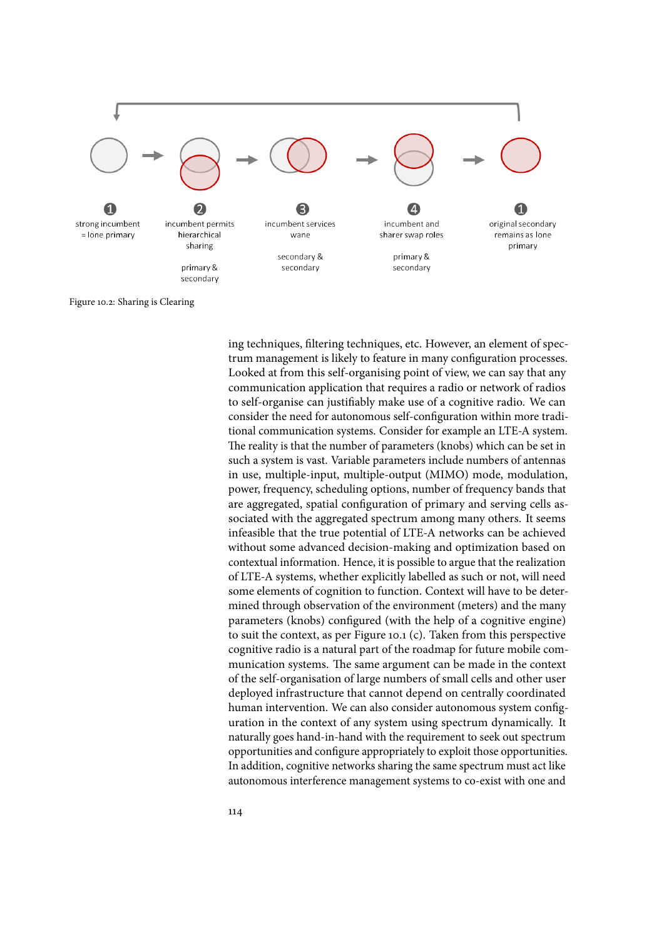

Figure 10.2: Sharing is Clearing

ing techniques, filtering techniques, etc. However, an element of spectrum management is likely to feature in many configuration processes. Looked at from this self-organising point of view, we can say that any communication application that requires a radio or network of radios to self-organise can justifiably make use of a cognitive radio. We can consider the need for autonomous self-configuration within more traditional communication systems. Consider for example an LTE-A system. The reality is that the number of parameters (knobs) which can be set in such a system is vast. Variable parameters include numbers of antennas in use, multiple-input, multiple-output (MIMO) mode, modulation, power, frequency, scheduling options, number of frequency bands that are aggregated, spatial configuration of primary and serving cells associated with the aggregated spectrum among many others. It seems infeasible that the true potential of LTE-A networks can be achieved without some advanced decision-making and optimization based on contextual information. Hence, it is possible to argue that the realization of LTE-A systems, whether explicitly labelled as such or not, will need some elements of cognition to function. Context will have to be determined through observation of the environment (meters) and the many parameters (knobs) configured (with the help of a cognitive engine) to suit the context, as per Figure 10.1 (c). Taken from this perspective cognitive radio is a natural part of the roadmap for future mobile communication systems. The same argument can be made in the context of the self-organisation of large numbers of small cells and other user deployed infrastructure that cannot depend on centrally coordinated human intervention. We can also consider autonomous system configuration in the context of any system using spectrum dynamically. It naturally goes hand-in-hand with the requirement to seek out spectrum opportunities and configure appropriately to exploit those opportunities. In addition, cognitive networks sharing the same spectrum must act like autonomous interference management systems to co-exist with one and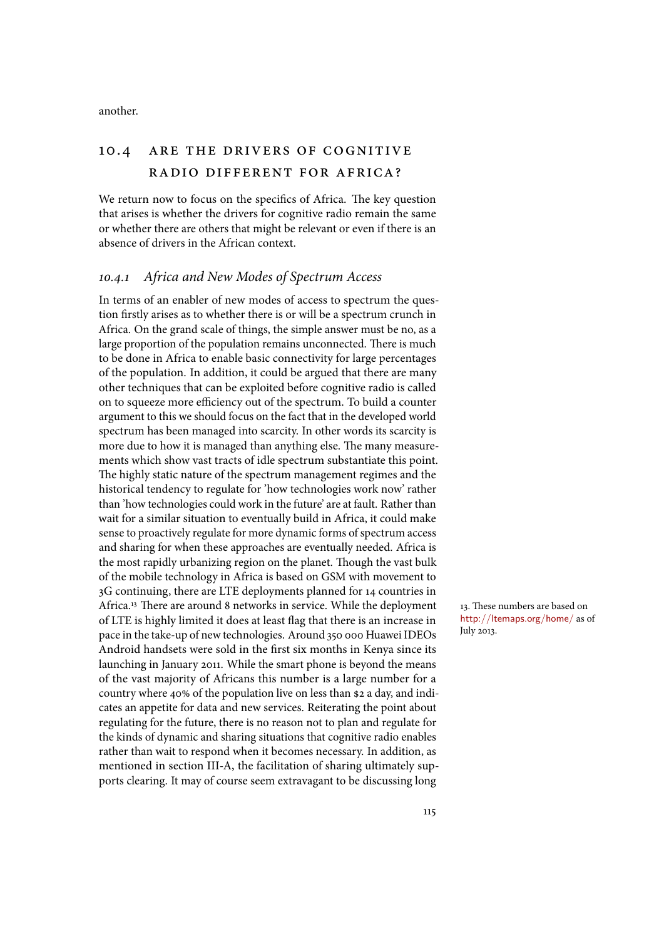another.

# 10.4 are the drivers of cognitive radio different for africa?

We return now to focus on the specifics of Africa. The key question that arises is whether the drivers for cognitive radio remain the same or whether there are others that might be relevant or even if there is an absence of drivers in the African context.

### 10*.*4*.*1 *Africa and New Modes of Spectrum Access*

In terms of an enabler of new modes of access to spectrum the question firstly arises as to whether there is or will be a spectrum crunch in Africa. On the grand scale of things, the simple answer must be no, as a large proportion of the population remains unconnected. There is much to be done in Africa to enable basic connectivity for large percentages of the population. In addition, it could be argued that there are many other techniques that can be exploited before cognitive radio is called on to squeeze more efficiency out of the spectrum. To build a counter argument to this we should focus on the fact that in the developed world spectrum has been managed into scarcity. In other words its scarcity is more due to how it is managed than anything else. The many measurements which show vast tracts of idle spectrum substantiate this point. The highly static nature of the spectrum management regimes and the historical tendency to regulate for 'how technologies work now' rather than 'how technologies could work in the future' are at fault. Rather than wait for a similar situation to eventually build in Africa, it could make sense to proactively regulate for more dynamic forms of spectrum access and sharing for when these approaches are eventually needed. Africa is the most rapidly urbanizing region on the planet. Though the vast bulk of the mobile technology in Africa is based on GSM with movement to 3G continuing, there are LTE deployments planned for 14 countries in Africa.<sup>13</sup> There are around 8 networks in service. While the deployment 13. These numbers are based on of LTE is highly limited it does at least flag that there is an increase in pace in the take-up of new technologies. Around 350 000 Huawei IDEOs Android handsets were sold in the first six months in Kenya since its launching in January 2011. While the smart phone is beyond the means of the vast majority of Africans this number is a large number for a country where 40% of the population live on less than \$2 a day, and indicates an appetite for data and new services. Reiterating the point about regulating for the future, there is no reason not to plan and regulate for the kinds of dynamic and sharing situations that cognitive radio enables rather than wait to respond when it becomes necessary. In addition, as mentioned in section III-A, the facilitation of sharing ultimately supports clearing. It may of course seem extravagant to be discussing long

http://ltemaps.org/home/ as of July 2013.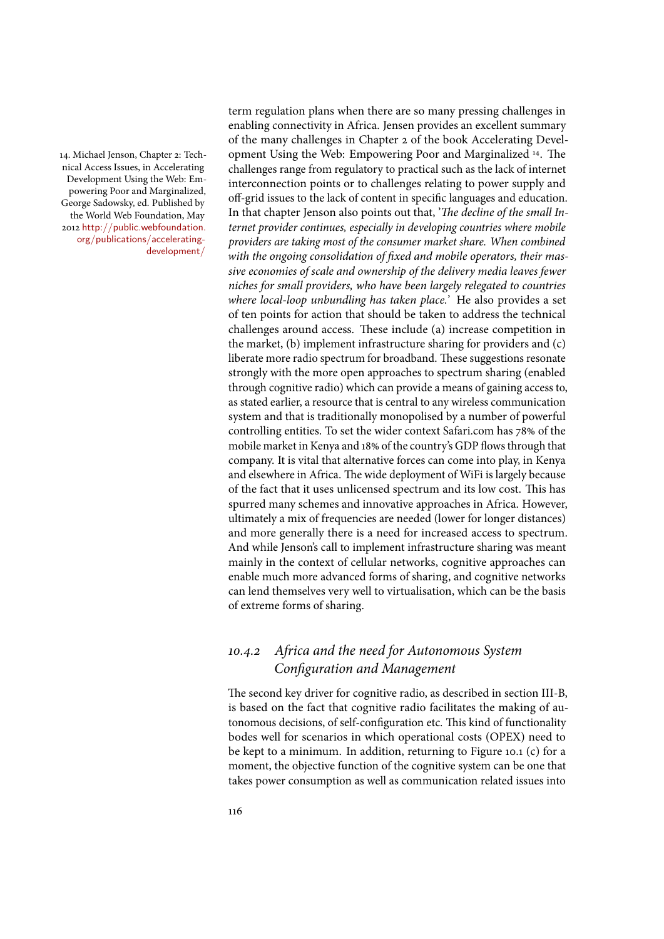nical Access Issues, in Accelerating Development Using the Web: Empowering Poor and Marginalized, George Sadowsky, ed. Published by the World Web Foundation, May 2012 http://public.webfoundation. org/publications/acceleratingdevelopment/

term regulation plans when there are so many pressing challenges in enabling connectivity in Africa. Jensen provides an excellent summary of the many challenges in Chapter 2 of the book Accelerating Devel-14. Michael Jenson, Chapter 2: Tech-copment Using the Web: Empowering Poor and Marginalized <sup>14</sup>. The challenges range from regulatory to practical such as the lack of internet interconnection points or to challenges relating to power supply and off-grid issues to the lack of content in specific languages and education. In that chapter Jenson also points out that, 'The decline of the small In*ternet provider continues, especially in developing countries where mobile providers are taking most of the consumer market share. When combined* with the ongoing consolidation of fixed and mobile operators, their mas*sive economies of scale and ownership of the delivery media leaves fewer niches for small providers, who have been largely relegated to countries where local-loop unbundling has taken place.*' He also provides a set of ten points for action that should be taken to address the technical challenges around access. These include (a) increase competition in the market, (b) implement infrastructure sharing for providers and (c) liberate more radio spectrum for broadband. These suggestions resonate strongly with the more open approaches to spectrum sharing (enabled through cognitive radio) which can provide a means of gaining access to, as stated earlier, a resource that is central to any wireless communication system and that is traditionally monopolised by a number of powerful controlling entities. To set the wider context Safari.com has 78% of the mobile market in Kenya and 18% of the country's GDP flows through that company. It is vital that alternative forces can come into play, in Kenya and elsewhere in Africa. The wide deployment of WiFi is largely because of the fact that it uses unlicensed spectrum and its low cost. This has spurred many schemes and innovative approaches in Africa. However, ultimately a mix of frequencies are needed (lower for longer distances) and more generally there is a need for increased access to spectrum. And while Jenson's call to implement infrastructure sharing was meant mainly in the context of cellular networks, cognitive approaches can enable much more advanced forms of sharing, and cognitive networks can lend themselves very well to virtualisation, which can be the basis of extreme forms of sharing.

# 10*.*4*.*2 *Africa and the need for Autonomous System Configuration and Management*

The second key driver for cognitive radio, as described in section III-B, is based on the fact that cognitive radio facilitates the making of autonomous decisions, of self-configuration etc. This kind of functionality bodes well for scenarios in which operational costs (OPEX) need to be kept to a minimum. In addition, returning to Figure 10.1 (c) for a moment, the objective function of the cognitive system can be one that takes power consumption as well as communication related issues into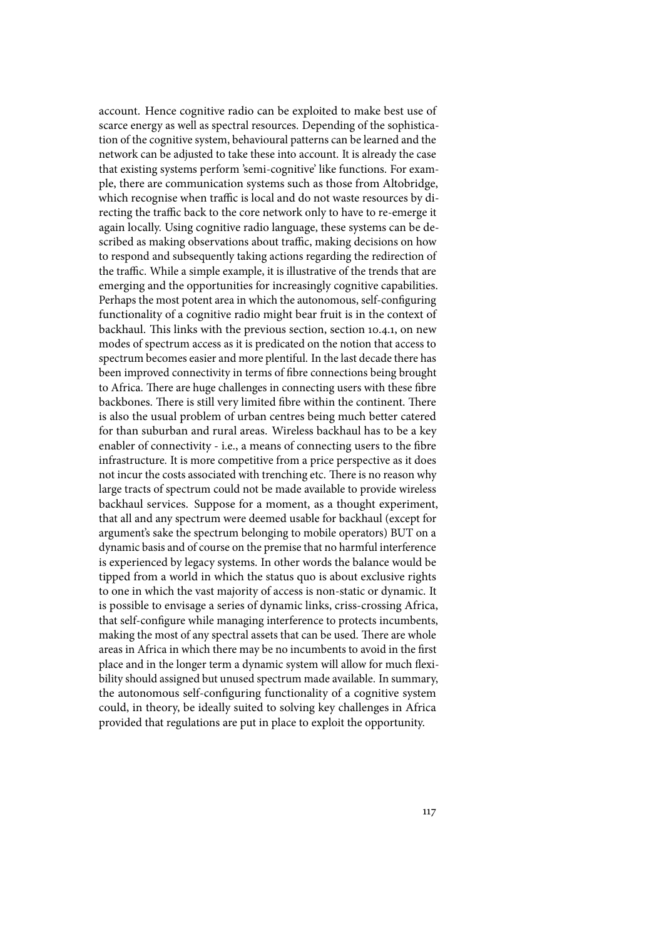account. Hence cognitive radio can be exploited to make best use of scarce energy as well as spectral resources. Depending of the sophistication of the cognitive system, behavioural patterns can be learned and the network can be adjusted to take these into account. It is already the case that existing systems perform 'semi-cognitive' like functions. For example, there are communication systems such as those from Altobridge, which recognise when traffic is local and do not waste resources by directing the traffic back to the core network only to have to re-emerge it again locally. Using cognitive radio language, these systems can be described as making observations about traffic, making decisions on how to respond and subsequently taking actions regarding the redirection of the traffic. While a simple example, it is illustrative of the trends that are emerging and the opportunities for increasingly cognitive capabilities. Perhaps the most potent area in which the autonomous, self-configuring functionality of a cognitive radio might bear fruit is in the context of backhaul. This links with the previous section, section 10.4.1, on new modes of spectrum access as it is predicated on the notion that access to spectrum becomes easier and more plentiful. In the last decade there has been improved connectivity in terms of fibre connections being brought to Africa. There are huge challenges in connecting users with these fibre backbones. There is still very limited fibre within the continent. There is also the usual problem of urban centres being much better catered for than suburban and rural areas. Wireless backhaul has to be a key enabler of connectivity - i.e., a means of connecting users to the fibre infrastructure. It is more competitive from a price perspective as it does not incur the costs associated with trenching etc. There is no reason why large tracts of spectrum could not be made available to provide wireless backhaul services. Suppose for a moment, as a thought experiment, that all and any spectrum were deemed usable for backhaul (except for argument's sake the spectrum belonging to mobile operators) BUT on a dynamic basis and of course on the premise that no harmful interference is experienced by legacy systems. In other words the balance would be tipped from a world in which the status quo is about exclusive rights to one in which the vast majority of access is non-static or dynamic. It is possible to envisage a series of dynamic links, criss-crossing Africa, that self-configure while managing interference to protects incumbents, making the most of any spectral assets that can be used. There are whole areas in Africa in which there may be no incumbents to avoid in the first place and in the longer term a dynamic system will allow for much flexibility should assigned but unused spectrum made available. In summary, the autonomous self-configuring functionality of a cognitive system could, in theory, be ideally suited to solving key challenges in Africa provided that regulations are put in place to exploit the opportunity.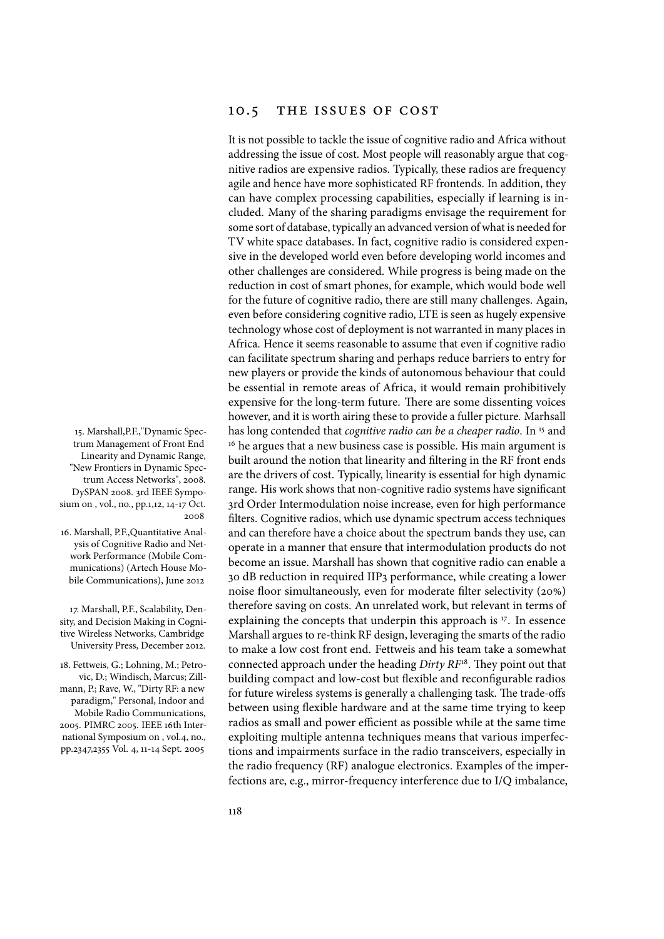### 10.5 THE ISSUES OF COST

It is not possible to tackle the issue of cognitive radio and Africa without addressing the issue of cost. Most people will reasonably argue that cognitive radios are expensive radios. Typically, these radios are frequency agile and hence have more sophisticated RF frontends. In addition, they can have complex processing capabilities, especially if learning is included. Many of the sharing paradigms envisage the requirement for some sort of database, typically an advanced version of what is needed for TV white space databases. In fact, cognitive radio is considered expensive in the developed world even before developing world incomes and other challenges are considered. While progress is being made on the reduction in cost of smart phones, for example, which would bode well for the future of cognitive radio, there are still many challenges. Again, even before considering cognitive radio, LTE is seen as hugely expensive technology whose cost of deployment is not warranted in many places in Africa. Hence it seems reasonable to assume that even if cognitive radio can facilitate spectrum sharing and perhaps reduce barriers to entry for new players or provide the kinds of autonomous behaviour that could be essential in remote areas of Africa, it would remain prohibitively expensive for the long-term future. There are some dissenting voices however, and it is worth airing these to provide a fuller picture. Marhsall 15. Marshall,P.F.,"Dynamic Spec-has long contended that *cognitive radio can be a cheaper radio*. In <sup>15</sup> and <sup>16</sup> he argues that a new business case is possible. His main argument is built around the notion that linearity and filtering in the RF front ends are the drivers of cost. Typically, linearity is essential for high dynamic range. His work shows that non-cognitive radio systems have significant 3rd Order Intermodulation noise increase, even for high performance filters. Cognitive radios, which use dynamic spectrum access techniques and can therefore have a choice about the spectrum bands they use, can operate in a manner that ensure that intermodulation products do not become an issue. Marshall has shown that cognitive radio can enable a 30 dB reduction in required IIP3 performance, while creating a lower noise floor simultaneously, even for moderate filter selectivity (20%) therefore saving on costs. An unrelated work, but relevant in terms of 17. Marshall, P.F., Scalability, Den-huele of earling on costs. An unrelated work, but relevant in terms of<br>y, and Decision Making in Cogni-huelex parallining the concepts that underpin this approach is <sup>17</sup>. In essence Marshall argues to re-think RF design, leveraging the smarts of the radio to make a low cost front end. Fettweis and his team take a somewhat 18. Fettweis, G.; Lohning, M.; Petro-connected approach under the heading *Dirty RF*<sup>18</sup>. They point out that building compact and low-cost but flexible and reconfigurable radios for future wireless systems is generally a challenging task. The trade-offs between using flexible hardware and at the same time trying to keep radios as small and power efficient as possible while at the same time exploiting multiple antenna techniques means that various imperfections and impairments surface in the radio transceivers, especially in the radio frequency (RF) analogue electronics. Examples of the imperfections are, e.g., mirror-frequency interference due to I/Q imbalance,

trum Management of Front End Linearity and Dynamic Range, "New Frontiers in Dynamic Spectrum Access Networks", 2008. DySPAN 2008. 3rd IEEE Symposium on , vol., no., pp.1,12, 14-17 Oct. 2008

16. Marshall, P.F.,Quantitative Analysis of Cognitive Radio and Network Performance (Mobile Communications) (Artech House Mobile Communications), June 2012

sity, and Decision Making in Cognitive Wireless Networks, Cambridge University Press, December 2012.

vic, D.; Windisch, Marcus; Zillmann, P.; Rave, W., "Dirty RF: a new paradigm," Personal, Indoor and Mobile Radio Communications, 2005. PIMRC 2005. IEEE 16th International Symposium on , vol.4, no., pp.2347,2355 Vol. 4, 11-14 Sept. 2005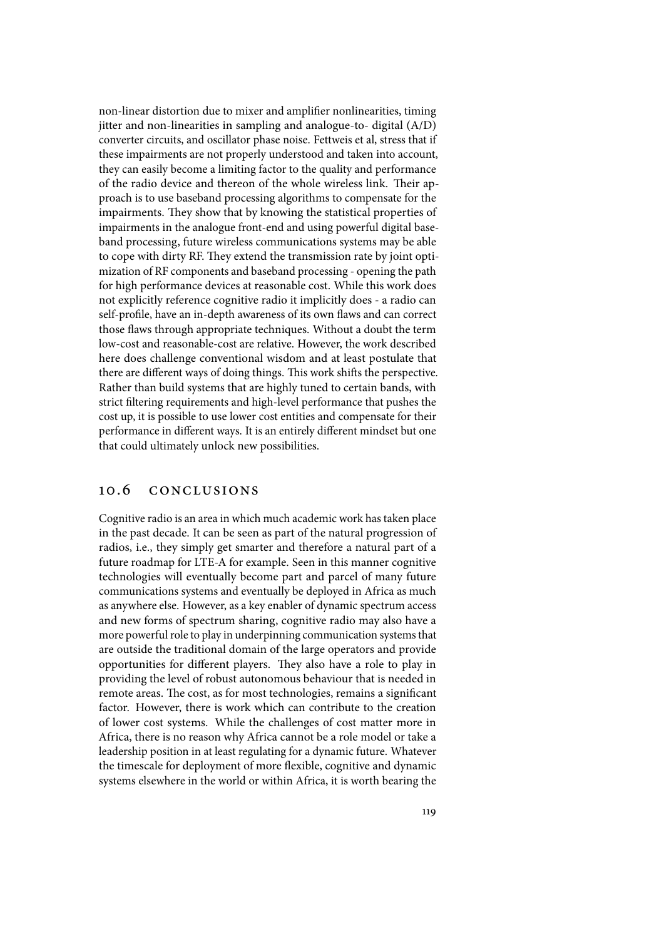non-linear distortion due to mixer and amplifier nonlinearities, timing jitter and non-linearities in sampling and analogue-to- digital (A/D) converter circuits, and oscillator phase noise. Fettweis et al, stress that if these impairments are not properly understood and taken into account, they can easily become a limiting factor to the quality and performance of the radio device and thereon of the whole wireless link. Their approach is to use baseband processing algorithms to compensate for the impairments. They show that by knowing the statistical properties of impairments in the analogue front-end and using powerful digital baseband processing, future wireless communications systems may be able to cope with dirty RF. They extend the transmission rate by joint optimization of RF components and baseband processing - opening the path for high performance devices at reasonable cost. While this work does not explicitly reference cognitive radio it implicitly does - a radio can self-profile, have an in-depth awareness of its own flaws and can correct those flaws through appropriate techniques. Without a doubt the term low-cost and reasonable-cost are relative. However, the work described here does challenge conventional wisdom and at least postulate that there are different ways of doing things. This work shifts the perspective. Rather than build systems that are highly tuned to certain bands, with strict filtering requirements and high-level performance that pushes the cost up, it is possible to use lower cost entities and compensate for their performance in different ways. It is an entirely different mindset but one that could ultimately unlock new possibilities.

### 10.6 conclusions

Cognitive radio is an area in which much academic work has taken place in the past decade. It can be seen as part of the natural progression of radios, i.e., they simply get smarter and therefore a natural part of a future roadmap for LTE-A for example. Seen in this manner cognitive technologies will eventually become part and parcel of many future communications systems and eventually be deployed in Africa as much as anywhere else. However, as a key enabler of dynamic spectrum access and new forms of spectrum sharing, cognitive radio may also have a more powerful role to play in underpinning communication systems that are outside the traditional domain of the large operators and provide opportunities for different players. They also have a role to play in providing the level of robust autonomous behaviour that is needed in remote areas. The cost, as for most technologies, remains a significant factor. However, there is work which can contribute to the creation of lower cost systems. While the challenges of cost matter more in Africa, there is no reason why Africa cannot be a role model or take a leadership position in at least regulating for a dynamic future. Whatever the timescale for deployment of more flexible, cognitive and dynamic systems elsewhere in the world or within Africa, it is worth bearing the